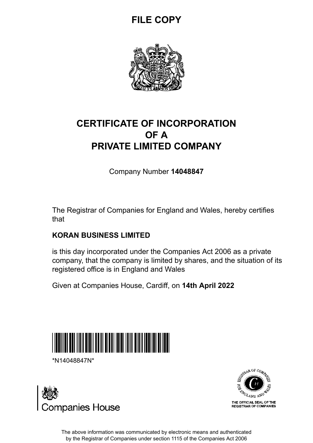## **FILE COPY**



### **CERTIFICATE OF INCORPORATION OF A PRIVATE LIMITED COMPANY**

Company Number **14048847**

The Registrar of Companies for England and Wales, hereby certifies that

### **KORAN BUSINESS LIMITED**

is this day incorporated under the Companies Act 2006 as a private company, that the company is limited by shares, and the situation of its registered office is in England and Wales

Given at Companies House, Cardiff, on **14th April 2022**



\*N14048847N\*





The above information was communicated by electronic means and authenticated by the Registrar of Companies under section 1115 of the Companies Act 2006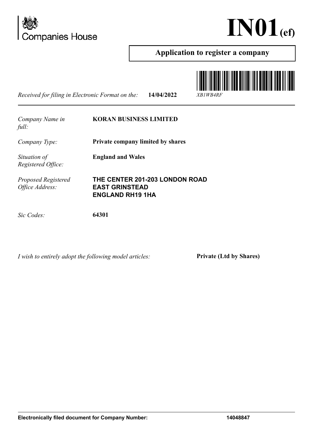



#### **Application to register a company**

*Received for filing in Electronic Format on the:* **14/04/2022** *XB1WB4RF*





*I wish to entirely adopt the following model articles:* **Private (Ltd by Shares)**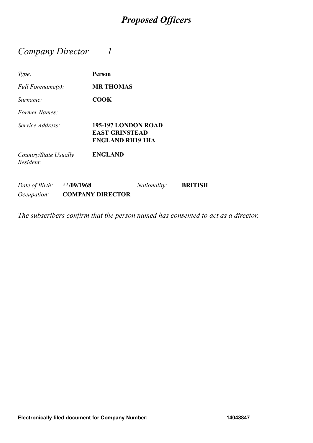### *Company Director 1*

| Type:                              |               | Person                                                                  |
|------------------------------------|---------------|-------------------------------------------------------------------------|
| Full Forename(s):                  |               | <b>MR THOMAS</b>                                                        |
| Surname:                           |               | <b>COOK</b>                                                             |
| Former Names:                      |               |                                                                         |
| Service Address:                   |               | 195-197 LONDON ROAD<br><b>EAST GRINSTEAD</b><br><b>ENGLAND RH19 1HA</b> |
| Country/State Usually<br>Resident: |               | <b>ENGLAND</b>                                                          |
| Date of Birth:<br>Occupation:      | $*$ */09/1968 | <b>BRITISH</b><br><i>Nationality:</i><br><b>COMPANY DIRECTOR</b>        |

*The subscribers confirm that the person named has consented to act as a director.*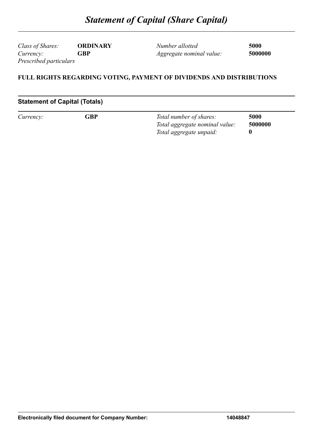*Class of Shares:* **ORDINARY** *Currency:* **GBP** *Prescribed particulars*

*Number allotted* **5000** *Aggregate nominal value:* **5000000**

#### **FULL RIGHTS REGARDING VOTING, PAYMENT OF DIVIDENDS AND DISTRIBUTIONS**

#### **Statement of Capital (Totals)**

| Currency: | GBP | Total number of shares:        | 5000    |
|-----------|-----|--------------------------------|---------|
|           |     | Total aggregate nominal value: | 5000000 |
|           |     | Total aggregate unpaid:        |         |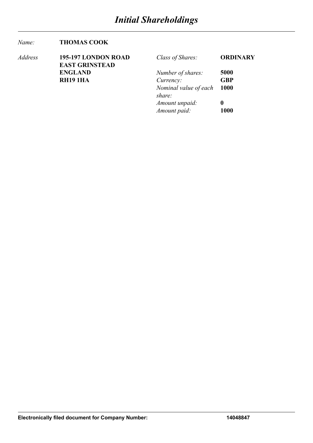#### *Name:* **THOMAS COOK**

| Address | 195-197 LONDON ROAD   | Class of Shares:      | <b>ORDINARY</b> |
|---------|-----------------------|-----------------------|-----------------|
|         | <b>EAST GRINSTEAD</b> |                       |                 |
|         | <b>ENGLAND</b>        | Number of shares:     | 5000            |
|         | <b>RH191HA</b>        | Currency:             | <b>GBP</b>      |
|         |                       | Nominal value of each | <b>1000</b>     |
|         |                       | share:                |                 |
|         |                       | Amount unpaid:        | 0               |
|         |                       | Amount paid:          | 1000            |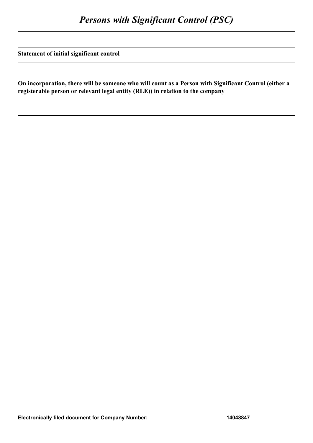**Statement of initial significant control**

**On incorporation, there will be someone who will count as a Person with Significant Control (either a registerable person or relevant legal entity (RLE)) in relation to the company**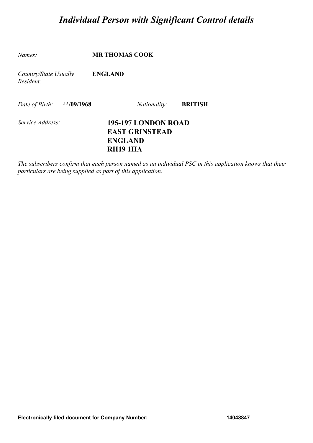| Names:                             | <b>MR THOMAS COOK</b>                                                            |                |
|------------------------------------|----------------------------------------------------------------------------------|----------------|
| Country/State Usually<br>Resident: | <b>ENGLAND</b>                                                                   |                |
| Date of Birth: **/09/1968          | <i>Nationality:</i>                                                              | <b>BRITISH</b> |
| Service Address:                   | 195-197 LONDON ROAD<br><b>EAST GRINSTEAD</b><br><b>ENGLAND</b><br><b>RH191HA</b> |                |

*The subscribers confirm that each person named as an individual PSC in this application knows that their particulars are being supplied as part of this application.*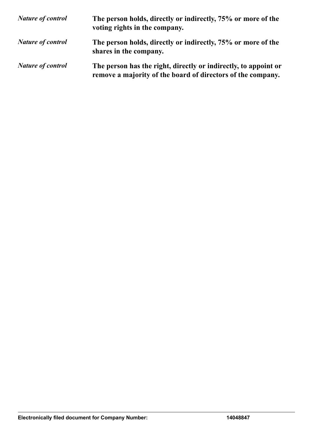| <b>Nature of control</b> | The person holds, directly or indirectly, 75% or more of the<br>voting rights in the company.                                  |
|--------------------------|--------------------------------------------------------------------------------------------------------------------------------|
| <b>Nature of control</b> | The person holds, directly or indirectly, 75% or more of the<br>shares in the company.                                         |
| <b>Nature of control</b> | The person has the right, directly or indirectly, to appoint or<br>remove a majority of the board of directors of the company. |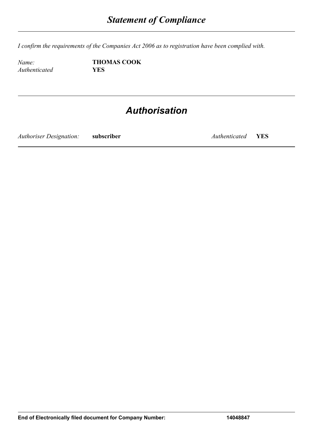*I confirm the requirements of the Companies Act 2006 as to registration have been complied with.*

 $A$ *uthenticated* 

*Name:* **THOMAS COOK**<br>*Authenticated* **YES** 

## *Authorisation*

*Authoriser Designation:* **subscriber** *Authenticated* **YES**